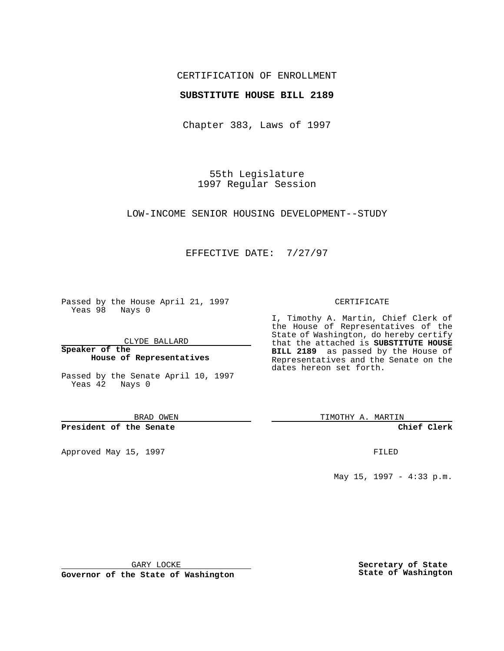## CERTIFICATION OF ENROLLMENT

### **SUBSTITUTE HOUSE BILL 2189**

Chapter 383, Laws of 1997

55th Legislature 1997 Regular Session

LOW-INCOME SENIOR HOUSING DEVELOPMENT--STUDY

## EFFECTIVE DATE: 7/27/97

Passed by the House April 21, 1997 Yeas 98 Nays 0

CLYDE BALLARD

**Speaker of the House of Representatives**

Passed by the Senate April 10, 1997 Yeas 42 Nays 0

BRAD OWEN

**President of the Senate**

Approved May 15, 1997 **FILED** 

#### CERTIFICATE

I, Timothy A. Martin, Chief Clerk of the House of Representatives of the State of Washington, do hereby certify that the attached is **SUBSTITUTE HOUSE BILL 2189** as passed by the House of Representatives and the Senate on the dates hereon set forth.

TIMOTHY A. MARTIN

**Chief Clerk**

May 15, 1997 - 4:33 p.m.

GARY LOCKE

**Governor of the State of Washington**

**Secretary of State State of Washington**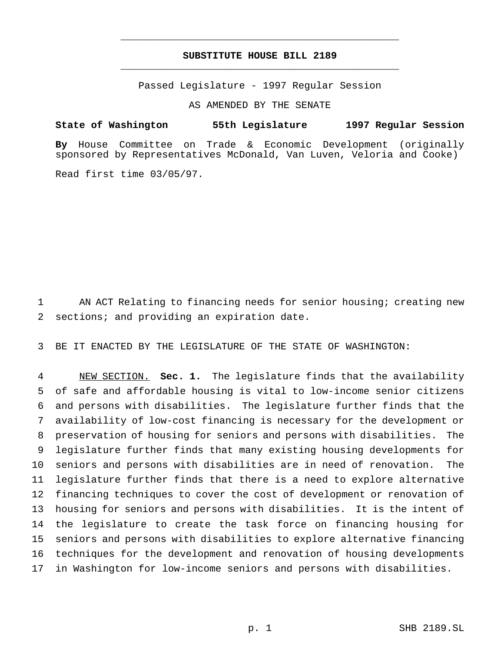# **SUBSTITUTE HOUSE BILL 2189** \_\_\_\_\_\_\_\_\_\_\_\_\_\_\_\_\_\_\_\_\_\_\_\_\_\_\_\_\_\_\_\_\_\_\_\_\_\_\_\_\_\_\_\_\_\_\_

\_\_\_\_\_\_\_\_\_\_\_\_\_\_\_\_\_\_\_\_\_\_\_\_\_\_\_\_\_\_\_\_\_\_\_\_\_\_\_\_\_\_\_\_\_\_\_

Passed Legislature - 1997 Regular Session

AS AMENDED BY THE SENATE

#### **State of Washington 55th Legislature 1997 Regular Session**

**By** House Committee on Trade & Economic Development (originally sponsored by Representatives McDonald, Van Luven, Veloria and Cooke)

Read first time 03/05/97.

1 AN ACT Relating to financing needs for senior housing; creating new 2 sections; and providing an expiration date.

3 BE IT ENACTED BY THE LEGISLATURE OF THE STATE OF WASHINGTON:

 NEW SECTION. **Sec. 1.** The legislature finds that the availability of safe and affordable housing is vital to low-income senior citizens and persons with disabilities. The legislature further finds that the availability of low-cost financing is necessary for the development or preservation of housing for seniors and persons with disabilities. The legislature further finds that many existing housing developments for seniors and persons with disabilities are in need of renovation. The legislature further finds that there is a need to explore alternative financing techniques to cover the cost of development or renovation of housing for seniors and persons with disabilities. It is the intent of the legislature to create the task force on financing housing for seniors and persons with disabilities to explore alternative financing techniques for the development and renovation of housing developments in Washington for low-income seniors and persons with disabilities.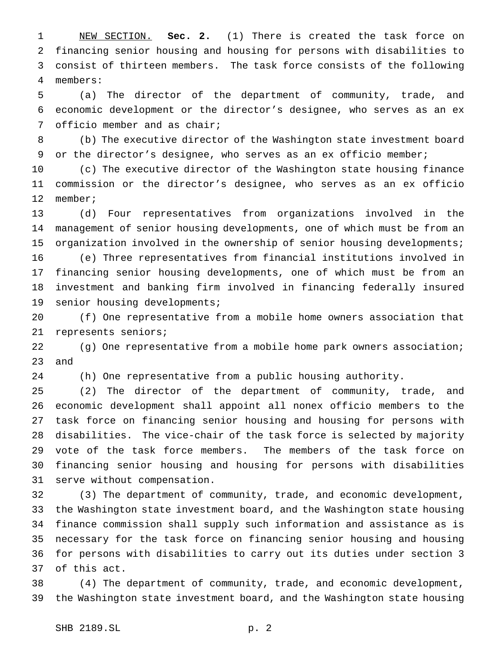NEW SECTION. **Sec. 2.** (1) There is created the task force on financing senior housing and housing for persons with disabilities to consist of thirteen members. The task force consists of the following members:

 (a) The director of the department of community, trade, and economic development or the director's designee, who serves as an ex officio member and as chair;

 (b) The executive director of the Washington state investment board 9 or the director's designee, who serves as an ex officio member;

 (c) The executive director of the Washington state housing finance commission or the director's designee, who serves as an ex officio member;

 (d) Four representatives from organizations involved in the management of senior housing developments, one of which must be from an organization involved in the ownership of senior housing developments; (e) Three representatives from financial institutions involved in financing senior housing developments, one of which must be from an investment and banking firm involved in financing federally insured 19 senior housing developments;

 (f) One representative from a mobile home owners association that represents seniors;

 (g) One representative from a mobile home park owners association; and

(h) One representative from a public housing authority.

 (2) The director of the department of community, trade, and economic development shall appoint all nonex officio members to the task force on financing senior housing and housing for persons with disabilities. The vice-chair of the task force is selected by majority vote of the task force members. The members of the task force on financing senior housing and housing for persons with disabilities serve without compensation.

 (3) The department of community, trade, and economic development, the Washington state investment board, and the Washington state housing finance commission shall supply such information and assistance as is necessary for the task force on financing senior housing and housing for persons with disabilities to carry out its duties under section 3 of this act.

 (4) The department of community, trade, and economic development, the Washington state investment board, and the Washington state housing